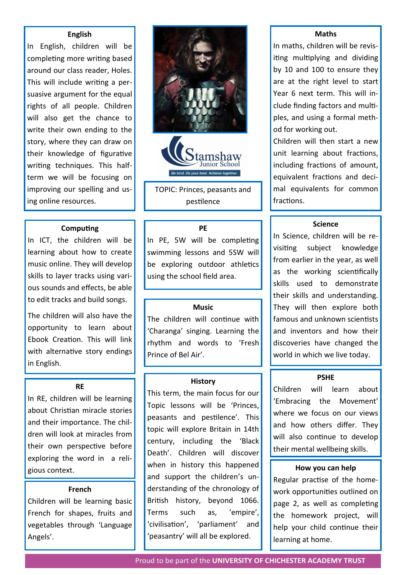# **English**

In English, children will be completing more writing based around our class reader, Holes. This will include writing a persuasive argument for the equal rights of all people. Children will also get the chance to write their own ending to the story, where they can draw on their knowledge of figurative writing techniques. This halfterm we will be focusing on improving our spelling and using online resources.

## **Computing**

In ICT, the children will be learning about how to create music online. They will develop skills to layer tracks using various sounds and effects, be able to edit tracks and build songs.

The children will also have the opportunity to learn about Ebook Creation. This will link with alternative story endings in English.

## **RE**

In RE, children will be learning about Christian miracle stories and their importance. The children will look at miracles from their own perspective before exploring the word in a reli-

#### **French**

Children will be learning basic French for shapes, fruits and vegetables through 'Language Angels'.





TOPIC: Princes, peasants and pestilence

#### **PE**

In PE, 5W will be completing swimming lessons and 5SW will be exploring outdoor athletics using the school field area.

#### **Music**

The children will continue with 'Charanga' singing. Learning the rhythm and words to 'Fresh Prince of Bel Air'.

#### **History**

This term, the main focus for our Topic lessons will be 'Princes, peasants and pestilence'. This topic will explore Britain in 14th century, including the 'Black Death'. Children will discover gious context. **How you can help** when in history this happened **How you can help** and support the children's understanding of the chronology of British history, beyond 1066. Terms such as, 'empire', 'civilisation', 'parliament' and 'peasantry' will all be explored.

## **Maths**

In maths, children will be revisiting multiplying and dividing by 10 and 100 to ensure they are at the right level to start Year 6 next term. This will include finding factors and multiples, and using a formal method for working out.

Children will then start a new unit learning about fractions, including fractions of amount, equivalent fractions and decimal equivalents for common fractions.

## **Science**

In Science, children will be revisiting subject knowledge from earlier in the year, as well as the working scientifically skills used to demonstrate their skills and understanding. They will then explore both famous and unknown scientists and inventors and how their discoveries have changed the world in which we live today.

#### **PSHE**

Children will learn about 'Embracing the Movement' where we focus on our views and how others differ. They will also continue to develop their mental wellbeing skills.

Regular practise of the homework opportunities outlined on page 2, as well as completing the homework project, will help your child continue their learning at home.